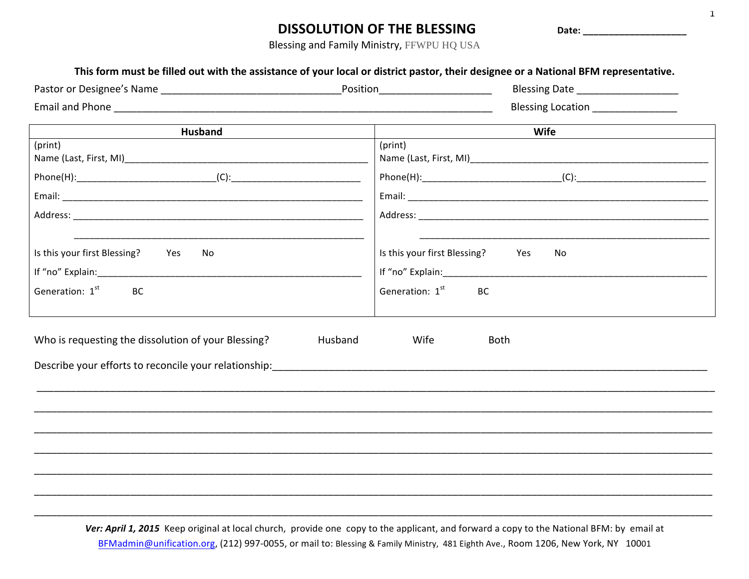## **DISSOLUTION OF THE BLESSING**

Date: National Contract of the Contract of the Contract of the Contract of the Contract of the Contract of the

Blessing and Family Ministry, FFWPU HQ USA

## This form must be filled out with the assistance of your local or district pastor, their designee or a National BFM representative. Pastor or Designee's Name **Sandware Contract Contract Contract Contract Contract Contract Contract Contract Contract Contract Contract Contract Contract Contract Contract Contract Contract Contract Contract Contract Contra** Blessing Date and the state of the state of the state of the state of the state of the state of the state of the Email and Phone **Figure 2018 Contract Contract Contract Contract Contract Contract Contract Contract Contract Contract Contract Contract Contract Contract Contract Contract Contract Contract Contract Contract Contract Co** Blessing Location \_\_\_\_\_\_\_\_\_\_\_\_\_\_\_ Wife Husband (print) (print) Name (Last, First, MI) Name (Last, First, MI) Name (Last, First, MI) Name (Name) and the set of the set of the set of the set of the set of the set of the set of the set of the set of the set of the set of the set of the set of the set of the set of the set of the set  $Phone(H):$  (C): Email: Email: Email: Email: Email: Email: Email: Email: Email: Email: Email: Email: Email: Email: Email: Email: Email: Email: Email: Email: Email: Email: Email: Email: Email: Email: Email: Email: Email: Email: Email: Email Email: Email: Email: Email: Email: Email: Email: Email: Email: Email: Email: Email: Email: Email: Email: Email: Email: Email: Email: Email: Email: Email: Email: Email: Email: Email: Email: Email: Email: Email: Email: Email Is this your first Blessing? Yes Is this your first Blessing? No Yes No If "no" Explain: If "no" Explain: The contract of the contract of the contract of the contract of the contract of the contract of the contract of the contract of the contract of the contract of the contract of the contract of the contract Generation: 1st Generation: 1st  $RC$  $BC$ Who is requesting the dissolution of your Blessing? Husband Wife **Both** Describe your efforts to reconcile your relationship:<br> Ver: April 1, 2015 Keep original at local church, provide one copy to the applicant, and forward a copy to the National BFM: by email at

BFMadmin@unification.org, (212) 997-0055, or mail to: Blessing & Family Ministry, 481 Eighth Ave., Room 1206, New York, NY 10001